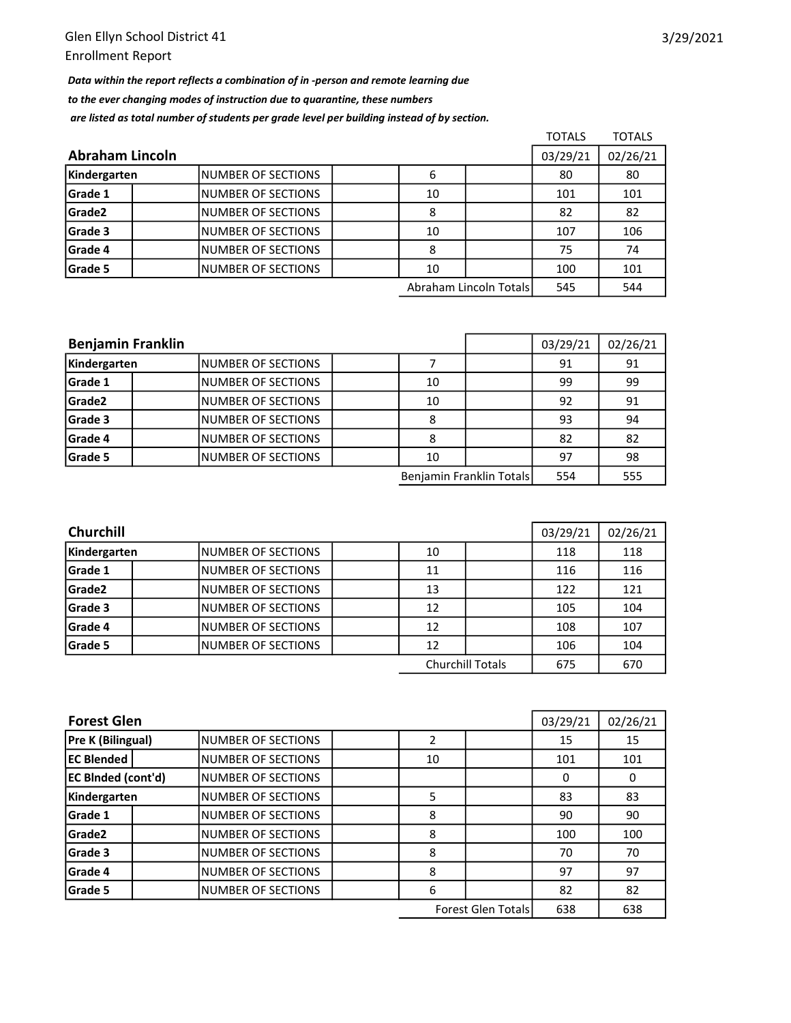Data within the report reflects a combination of in -person and remote learning due to the ever changing modes of instruction due to quarantine, these numbers are listed as total number of students per grade level per building instead of by section.

|                 |                     |          |                        | <b>TOTALS</b> | <b>TOTALS</b> |
|-----------------|---------------------|----------|------------------------|---------------|---------------|
| Abraham Lincoln | 03/29/21            | 02/26/21 |                        |               |               |
| Kindergarten    | INUMBER OF SECTIONS | 6        |                        | 80            | 80            |
| Grade 1         | INUMBER OF SECTIONS | 10       |                        | 101           | 101           |
| Grade2          | INUMBER OF SECTIONS | 8        |                        | 82            | 82            |
| Grade 3         | INUMBER OF SECTIONS | 10       |                        | 107           | 106           |
| Grade 4         | INUMBER OF SECTIONS | 8        |                        | 75            | 74            |
| Grade 5         | INUMBER OF SECTIONS | 10       |                        | 100           | 101           |
|                 |                     |          | Abraham Lincoln Totals | 545           | 544           |

| <b>Benjamin Franklin</b> |                           |    | 03/29/21                 | 02/26/21 |     |
|--------------------------|---------------------------|----|--------------------------|----------|-----|
| Kindergarten             | INUMBER OF SECTIONS       |    |                          | 91       | 91  |
| Grade 1                  | INUMBER OF SECTIONS       | 10 |                          | 99       | 99  |
| Grade2                   | INUMBER OF SECTIONS       | 10 |                          | 92       | 91  |
| Grade 3                  | INUMBER OF SECTIONS       | 8  |                          | 93       | 94  |
| Grade 4                  | <b>NUMBER OF SECTIONS</b> | 8  |                          | 82       | 82  |
| Grade 5                  | INUMBER OF SECTIONS       | 10 |                          | 97       | 98  |
|                          |                           |    | Benjamin Franklin Totals | 554      | 555 |

| <b>Churchill</b> |                           |    |                         | 03/29/21 | 02/26/21 |
|------------------|---------------------------|----|-------------------------|----------|----------|
| Kindergarten     | <b>NUMBER OF SECTIONS</b> | 10 |                         | 118      | 118      |
| <b>Grade 1</b>   | <b>NUMBER OF SECTIONS</b> | 11 |                         | 116      | 116      |
| Grade2           | INUMBER OF SECTIONS       | 13 |                         | 122      | 121      |
| Grade 3          | <b>NUMBER OF SECTIONS</b> | 12 |                         | 105      | 104      |
| <b>Grade 4</b>   | <b>NUMBER OF SECTIONS</b> | 12 |                         | 108      | 107      |
| <b>Grade 5</b>   | INUMBER OF SECTIONS       | 12 |                         | 106      | 104      |
|                  |                           |    | <b>Churchill Totals</b> | 675      | 670      |

| <b>Forest Glen</b>        |  |                           |    |                           | 03/29/21 | 02/26/21 |
|---------------------------|--|---------------------------|----|---------------------------|----------|----------|
| Pre K (Bilingual)         |  | INUMBER OF SECTIONS       |    |                           | 15       | 15       |
| <b>EC Blended</b>         |  | <b>NUMBER OF SECTIONS</b> | 10 |                           | 101      | 101      |
| <b>EC BInded (cont'd)</b> |  | <b>NUMBER OF SECTIONS</b> |    |                           | 0        | 0        |
| Kindergarten              |  | NUMBER OF SECTIONS        | 5  |                           | 83       | 83       |
| Grade 1                   |  | <b>NUMBER OF SECTIONS</b> | 8  |                           | 90       | 90       |
| Grade <sub>2</sub>        |  | <b>NUMBER OF SECTIONS</b> | 8  |                           | 100      | 100      |
| Grade 3                   |  | <b>NUMBER OF SECTIONS</b> | 8  |                           | 70       | 70       |
| Grade 4                   |  | <b>NUMBER OF SECTIONS</b> | 8  |                           | 97       | 97       |
| Grade 5                   |  | <b>NUMBER OF SECTIONS</b> | 6  |                           | 82       | 82       |
|                           |  |                           |    | <b>Forest Glen Totals</b> | 638      | 638      |